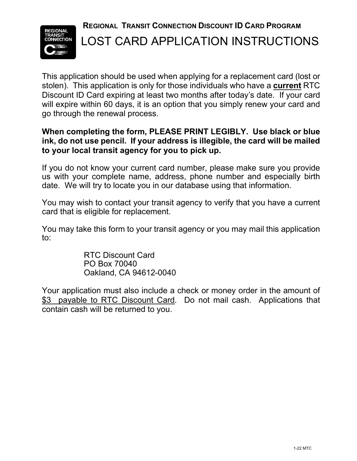**REGIONAL TRANSIT CONNECTION DISCOUNT ID CARD PROGRAM**



## LOST CARD APPLICATION INSTRUCTIONS

This application should be used when applying for a replacement card (lost or stolen). This application is only for those individuals who have a **current** RTC Discount ID Card expiring at least two months after today's date. If your card will expire within 60 days, it is an option that you simply renew your card and go through the renewal process.

### **When completing the form, PLEASE PRINT LEGIBLY. Use black or blue ink, do not use pencil. If your address is illegible, the card will be mailed to your local transit agency for you to pick up.**

If you do not know your current card number, please make sure you provide us with your complete name, address, phone number and especially birth date. We will try to locate you in our database using that information.

You may wish to contact your transit agency to verify that you have a current card that is eligible for replacement.

You may take this form to your transit agency or you may mail this application to:

> RTC Discount Card PO Box 70040 Oakland, CA 94612-0040

Your application must also include a check or money order in the amount of \$3 payable to RTC Discount Card. Do not mail cash. Applications that contain cash will be returned to you.